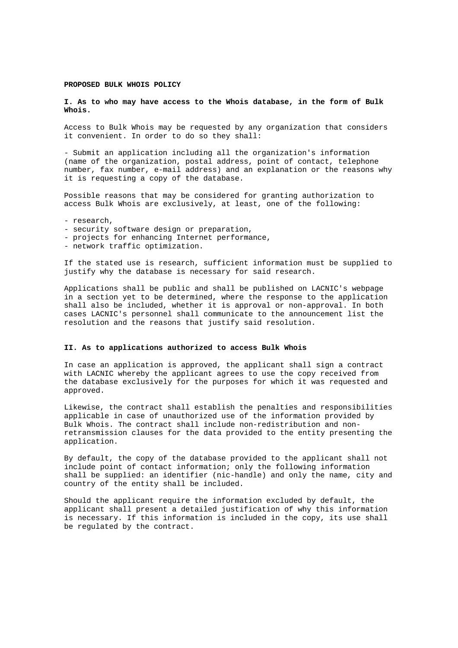## **PROPOSED BULK WHOIS POLICY**

## **I. As to who may have access to the Whois database, in the form of Bulk Whois.**

Access to Bulk Whois may be requested by any organization that considers it convenient. In order to do so they shall:

- Submit an application including all the organization's information (name of the organization, postal address, point of contact, telephone number, fax number, e-mail address) and an explanation or the reasons why it is requesting a copy of the database.

Possible reasons that may be considered for granting authorization to access Bulk Whois are exclusively, at least, one of the following:

- research,
- security software design or preparation,
- projects for enhancing Internet performance,
- network traffic optimization.

If the stated use is research, sufficient information must be supplied to justify why the database is necessary for said research.

Applications shall be public and shall be published on LACNIC's webpage in a section yet to be determined, where the response to the application shall also be included, whether it is approval or non-approval. In both cases LACNIC's personnel shall communicate to the announcement list the resolution and the reasons that justify said resolution.

## **II. As to applications authorized to access Bulk Whois**

In case an application is approved, the applicant shall sign a contract with LACNIC whereby the applicant agrees to use the copy received from the database exclusively for the purposes for which it was requested and approved.

Likewise, the contract shall establish the penalties and responsibilities applicable in case of unauthorized use of the information provided by Bulk Whois. The contract shall include non-redistribution and nonretransmission clauses for the data provided to the entity presenting the application.

By default, the copy of the database provided to the applicant shall not include point of contact information; only the following information shall be supplied: an identifier (nic-handle) and only the name, city and country of the entity shall be included.

Should the applicant require the information excluded by default, the applicant shall present a detailed justification of why this information is necessary. If this information is included in the copy, its use shall be regulated by the contract.